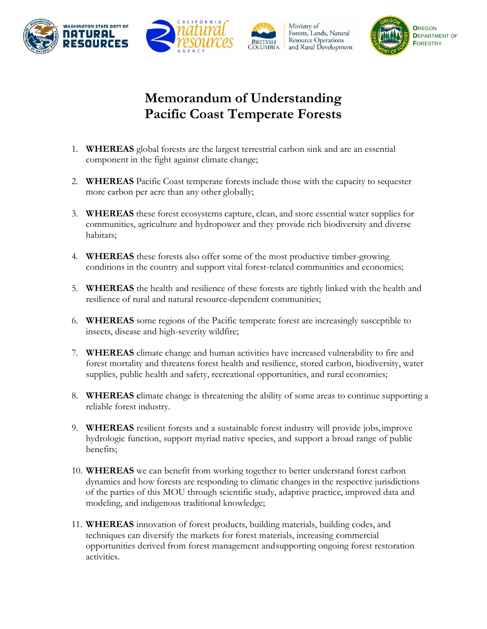







## **Memorandum of Understanding Pacific Coast Temperate Forests**

- 1. **WHEREAS** global forests are the largest terrestrial carbon sink and are an essential component in the fight against climate change;
- 2. **WHEREAS** Pacific Coast temperate forests include those with the capacity to sequester more carbon per acre than any other globally;
- 3. **WHEREAS** these forest ecosystems capture, clean, and store essential water supplies for communities, agriculture and hydropower and they provide rich biodiversity and diverse habitats;
- 4. **WHEREAS** these forests also offer some of the most productive timber-growing conditions in the country and support vital forest-related communities and economies;
- 5. **WHEREAS** the health and resilience of these forests are tightly linked with the health and resilience of rural and natural resource-dependent communities;
- 6. **WHEREAS** some regions of the Pacific temperate forest are increasingly susceptible to insects, disease and high-severity wildfire;
- 7. **WHEREAS** climate change and human activities have increased vulnerability to fire and forest mortality and threatens forest health and resilience, stored carbon, biodiversity, water supplies, public health and safety, recreational opportunities, and rural economies;
- 8. **WHEREAS c**limate change is threatening the ability of some areas to continue supporting a reliable forest industry.
- 9. **WHEREAS** resilient forests and a sustainable forest industry will provide jobs,improve hydrologic function, support myriad native species, and support a broad range of public benefits;
- 10. **WHEREAS** we can benefit from working together to better understand forest carbon dynamics and how forests are responding to climatic changes in the respective jurisdictions of the parties of this MOU through scientific study, adaptive practice, improved data and modeling, and indigenous traditional knowledge;
- 11. **WHEREAS** innovation of forest products, building materials, building codes, and techniques can diversify the markets for forest materials, increasing commercial opportunities derived from forest management andsupporting ongoing forest restoration activities.